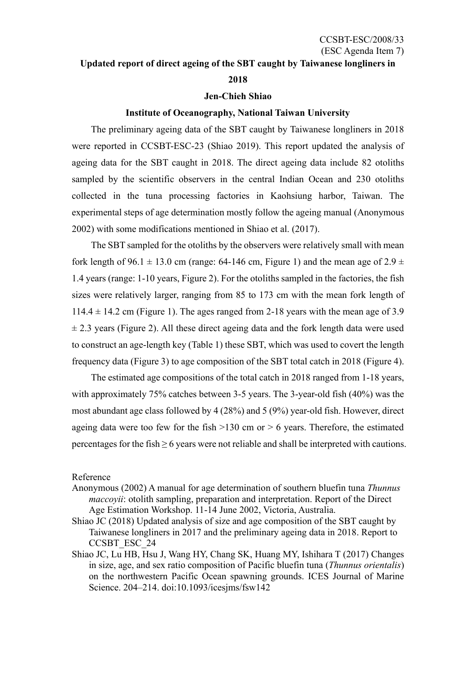#### **Updated report of direct ageing of the SBT caught by Taiwanese longliners in**

### **2018**

### **Jen-Chieh Shiao**

## **Institute of Oceanography, National Taiwan University**

The preliminary ageing data of the SBT caught by Taiwanese longliners in 2018 were reported in CCSBT-ESC-23 (Shiao 2019). This report updated the analysis of ageing data for the SBT caught in 2018. The direct ageing data include 82 otoliths sampled by the scientific observers in the central Indian Ocean and 230 otoliths collected in the tuna processing factories in Kaohsiung harbor, Taiwan. The experimental steps of age determination mostly follow the ageing manual (Anonymous 2002) with some modifications mentioned in Shiao et al. (2017).

The SBT sampled for the otoliths by the observers were relatively small with mean fork length of 96.1  $\pm$  13.0 cm (range: 64-146 cm, Figure 1) and the mean age of 2.9  $\pm$ 1.4 years (range: 1-10 years, Figure 2). For the otoliths sampled in the factories, the fish sizes were relatively larger, ranging from 85 to 173 cm with the mean fork length of  $114.4 \pm 14.2$  cm (Figure 1). The ages ranged from 2-18 years with the mean age of 3.9  $\pm$  2.3 years (Figure 2). All these direct ageing data and the fork length data were used to construct an age-length key (Table 1) these SBT, which was used to covert the length frequency data (Figure 3) to age composition of the SBT total catch in 2018 (Figure 4).

The estimated age compositions of the total catch in 2018 ranged from 1-18 years, with approximately 75% catches between 3-5 years. The 3-year-old fish (40%) was the most abundant age class followed by 4 (28%) and 5 (9%) year-old fish. However, direct ageing data were too few for the fish  $>130$  cm or  $> 6$  years. Therefore, the estimated percentages for the fish  $\geq 6$  years were not reliable and shall be interpreted with cautions.

### Reference

- Anonymous (2002) A manual for age determination of southern bluefin tuna *Thunnus maccoyii*: otolith sampling, preparation and interpretation. Report of the Direct Age Estimation Workshop. 11-14 June 2002, Victoria, Australia.
- Shiao JC (2018) Updated analysis of size and age composition of the SBT caught by Taiwanese longliners in 2017 and the preliminary ageing data in 2018. Report to CCSBT\_ESC\_24
- Shiao JC, Lu HB, Hsu J, Wang HY, Chang SK, Huang MY, Ishihara T (2017) Changes in size, age, and sex ratio composition of Pacific bluefin tuna (*Thunnus orientalis*) on the northwestern Pacific Ocean spawning grounds. ICES Journal of Marine Science. 204–214. doi:10.1093/icesjms/fsw142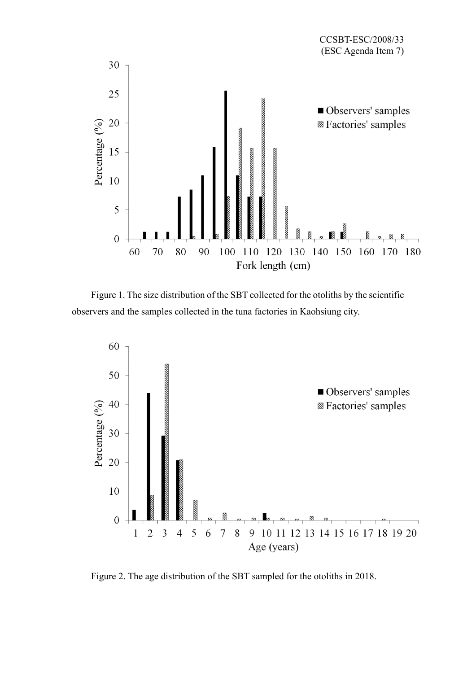

Figure 1. The size distribution of the SBT collected for the otoliths by the scientific observers and the samples collected in the tuna factories in Kaohsiung city.



Figure 2. The age distribution of the SBT sampled for the otoliths in 2018.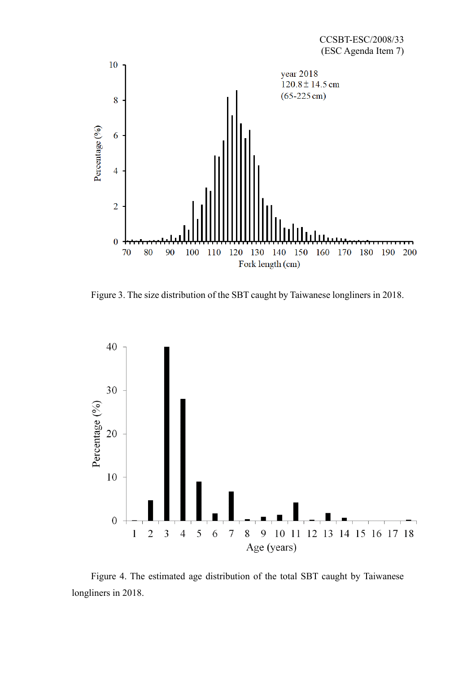

Figure 3. The size distribution of the SBT caught by Taiwanese longliners in 2018.



Figure 4. The estimated age distribution of the total SBT caught by Taiwanese longliners in 2018.